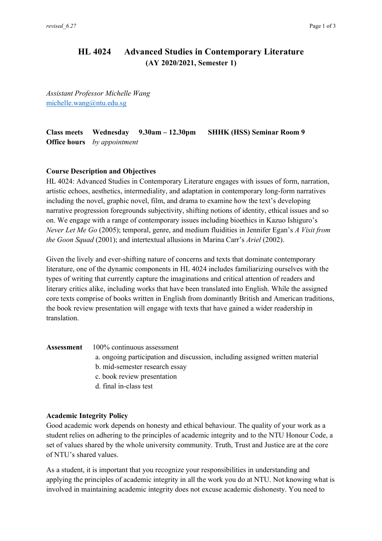# **HL 4024 Advanced Studies in Contemporary Literature (AY 2020/2021, Semester 1)**

*Assistant Professor Michelle Wang* michelle.wang@ntu.edu.sg

**Class meets Wednesday 9.30am – 12.30pm SHHK (HSS) Seminar Room 9 Office hours** *by appointment*

## **Course Description and Objectives**

HL 4024: Advanced Studies in Contemporary Literature engages with issues of form, narration, artistic echoes, aesthetics, intermediality, and adaptation in contemporary long-form narratives including the novel, graphic novel, film, and drama to examine how the text's developing narrative progression foregrounds subjectivity, shifting notions of identity, ethical issues and so on. We engage with a range of contemporary issues including bioethics in Kazuo Ishiguro's *Never Let Me Go* (2005); temporal, genre, and medium fluidities in Jennifer Egan's *A Visit from the Goon Squad* (2001); and intertextual allusions in Marina Carr's *Ariel* (2002).

Given the lively and ever-shifting nature of concerns and texts that dominate contemporary literature, one of the dynamic components in HL 4024 includes familiarizing ourselves with the types of writing that currently capture the imaginations and critical attention of readers and literary critics alike, including works that have been translated into English. While the assigned core texts comprise of books written in English from dominantly British and American traditions, the book review presentation will engage with texts that have gained a wider readership in translation.

| <b>Assessment</b> $100\%$ continuous assessment                              |
|------------------------------------------------------------------------------|
| a. ongoing participation and discussion, including assigned written material |
| b. mid-semester research essay                                               |
| c. book review presentation                                                  |

d. final in-class test

## **Academic Integrity Policy**

Good academic work depends on honesty and ethical behaviour. The quality of your work as a student relies on adhering to the principles of academic integrity and to the NTU Honour Code, a set of values shared by the whole university community. Truth, Trust and Justice are at the core of NTU's shared values.

As a student, it is important that you recognize your responsibilities in understanding and applying the principles of academic integrity in all the work you do at NTU. Not knowing what is involved in maintaining academic integrity does not excuse academic dishonesty. You need to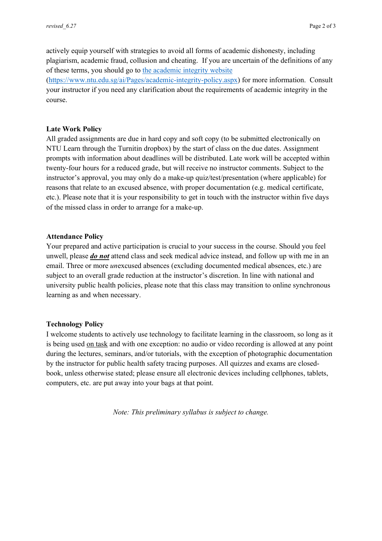actively equip yourself with strategies to avoid all forms of academic dishonesty, including plagiarism, academic fraud, collusion and cheating. If you are uncertain of the definitions of any of these terms, you should go to the academic integrity website (https://www.ntu.edu.sg/ai/Pages/academic-integrity-policy.aspx) for more information. Consult your instructor if you need any clarification about the requirements of academic integrity in the course.

#### **Late Work Policy**

All graded assignments are due in hard copy and soft copy (to be submitted electronically on NTU Learn through the Turnitin dropbox) by the start of class on the due dates. Assignment prompts with information about deadlines will be distributed. Late work will be accepted within twenty-four hours for a reduced grade, but will receive no instructor comments. Subject to the instructor's approval, you may only do a make-up quiz/test/presentation (where applicable) for reasons that relate to an excused absence, with proper documentation (e.g. medical certificate, etc.). Please note that it is your responsibility to get in touch with the instructor within five days of the missed class in order to arrange for a make-up.

#### **Attendance Policy**

Your prepared and active participation is crucial to your success in the course. Should you feel unwell, please *do not* attend class and seek medical advice instead, and follow up with me in an email. Three or more *un*excused absences (excluding documented medical absences, etc.) are subject to an overall grade reduction at the instructor's discretion. In line with national and university public health policies, please note that this class may transition to online synchronous learning as and when necessary.

#### **Technology Policy**

I welcome students to actively use technology to facilitate learning in the classroom, so long as it is being used on task and with one exception: no audio or video recording is allowed at any point during the lectures, seminars, and/or tutorials, with the exception of photographic documentation by the instructor for public health safety tracing purposes. All quizzes and exams are closedbook, unless otherwise stated; please ensure all electronic devices including cellphones, tablets, computers, etc. are put away into your bags at that point.

*Note: This preliminary syllabus is subject to change.*